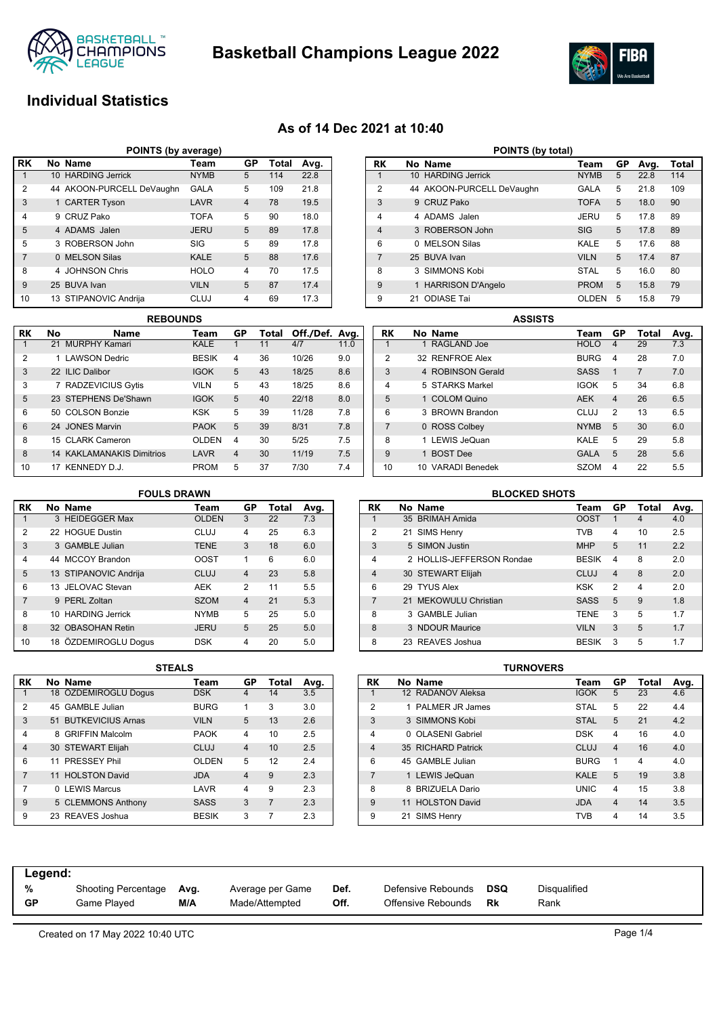

**Basketball Champions League 2022**



# **Individual Statistics**

### **As of 14 Dec 2021 at 10:40**

| POINTS (by average)                                         |                                               |                           |             |   |     |      |  |  |  |  |  |  |  |
|-------------------------------------------------------------|-----------------------------------------------|---------------------------|-------------|---|-----|------|--|--|--|--|--|--|--|
| l RK                                                        | No Name<br>GP<br><b>Total</b><br>Avg.<br>Team |                           |             |   |     |      |  |  |  |  |  |  |  |
|                                                             |                                               | 10 HARDING Jerrick        | <b>NYMB</b> | 5 | 114 | 22.8 |  |  |  |  |  |  |  |
| $\overline{2}$                                              |                                               | 44 AKOON-PURCELL DeVaughn | <b>GALA</b> | 5 | 109 | 21.8 |  |  |  |  |  |  |  |
| 3<br>1 CARTER Tyson<br>LAVR<br>78<br>19.5<br>$\overline{4}$ |                                               |                           |             |   |     |      |  |  |  |  |  |  |  |
| $\overline{4}$                                              |                                               | 9 CRUZ Pako               | <b>TOFA</b> | 5 | 90  | 18.0 |  |  |  |  |  |  |  |
| 5                                                           |                                               | 4 ADAMS Jalen             | <b>JERU</b> | 5 | 89  | 17.8 |  |  |  |  |  |  |  |
| 5                                                           |                                               | 3 ROBERSON John           | SIG         | 5 | 89  | 17.8 |  |  |  |  |  |  |  |
| $\overline{7}$                                              |                                               | 0 MELSON Silas            | <b>KALE</b> | 5 | 88  | 17.6 |  |  |  |  |  |  |  |
| 8                                                           |                                               | 4 JOHNSON Chris           | <b>HOLO</b> | 4 | 70  | 17.5 |  |  |  |  |  |  |  |
| 9                                                           |                                               | 25 BUVA Ivan              | <b>VILN</b> | 5 | 87  | 17.4 |  |  |  |  |  |  |  |
| 10                                                          |                                               | 13 STIPANOVIC Andrija     | <b>CLUJ</b> | 4 | 69  | 17.3 |  |  |  |  |  |  |  |

| <b>REBOUNDS</b> |    |                                  |              |                |       |                |      |  |  |  |  |  |
|-----------------|----|----------------------------------|--------------|----------------|-------|----------------|------|--|--|--|--|--|
| RK              | No | <b>Name</b>                      | Team         | GP             | Total | Off./Def. Avg. |      |  |  |  |  |  |
|                 |    | 21 MURPHY Kamari                 | KALE         |                | 11    | 4/7            | 11.0 |  |  |  |  |  |
| $\overline{2}$  |    | 1 LAWSON Dedric                  | <b>BESIK</b> | 4              | 36    | 10/26          | 9.0  |  |  |  |  |  |
| 3               |    | 22 ILIC Dalibor                  | <b>IGOK</b>  | 5              | 43    | 18/25          | 8.6  |  |  |  |  |  |
| 3               |    | 7 RADZEVICIUS Gytis              | <b>VILN</b>  | 5              | 43    | 18/25          | 8.6  |  |  |  |  |  |
| 5               |    | 23 STEPHENS De'Shawn             | <b>IGOK</b>  | 5              | 40    | 22/18          | 8.0  |  |  |  |  |  |
| 6               |    | 50 COLSON Bonzie                 | <b>KSK</b>   | 5              | 39    | 11/28          | 7.8  |  |  |  |  |  |
| 6               |    | 24 JONES Marvin                  | <b>PAOK</b>  | 5              | 39    | 8/31           | 7.8  |  |  |  |  |  |
| 8               |    | 15 CLARK Cameron                 | <b>OLDEN</b> | 4              | 30    | 5/25           | 7.5  |  |  |  |  |  |
| 8               |    | <b>14 KAKLAMANAKIS Dimitrios</b> | LAVR         | $\overline{4}$ | 30    | 11/19          | 7.5  |  |  |  |  |  |
| 10              |    | 17 KENNEDY D.J.                  | <b>PROM</b>  | 5              | 37    | 7/30           | 7.4  |  |  |  |  |  |

|                | POINTS (by total) |                          |              |    |      |       |  |  |  |  |  |  |
|----------------|-------------------|--------------------------|--------------|----|------|-------|--|--|--|--|--|--|
| RK             |                   | No Name                  | Team         | GP | Avg. | Total |  |  |  |  |  |  |
| 1              |                   | 10 HARDING Jerrick       | <b>NYMB</b>  | 5  | 22.8 | 114   |  |  |  |  |  |  |
| $\overline{2}$ | 44                | AKOON-PURCELL DeVaughn   | GALA         | 5  | 21.8 | 109   |  |  |  |  |  |  |
| 3              | 9                 | CRUZ Pako                | <b>TOFA</b>  | 5  | 18.0 | 90    |  |  |  |  |  |  |
| 4              | 4                 | ADAMS Jalen              | JERU         | 5  | 17.8 | 89    |  |  |  |  |  |  |
| $\overline{4}$ |                   | 3 ROBERSON John          | SIG          | 5  | 17.8 | 89    |  |  |  |  |  |  |
| 6              | <sup>n</sup>      | <b>MELSON Silas</b>      | KAI F        | 5  | 17.6 | 88    |  |  |  |  |  |  |
| $\overline{7}$ |                   | 25 BUVA Ivan             | <b>VILN</b>  | 5  | 17.4 | 87    |  |  |  |  |  |  |
| 8              | 3                 | SIMMONS Kobi             | <b>STAL</b>  | 5  | 16.0 | 80    |  |  |  |  |  |  |
| 9              |                   | <b>HARRISON D'Angelo</b> | <b>PROM</b>  | 5  | 15.8 | 79    |  |  |  |  |  |  |
| 9              | 21                | <b>ODIASE Tai</b>        | <b>OLDEN</b> | 5  | 15.8 | 79    |  |  |  |  |  |  |

|                | <b>ASSISTS</b> |                   |  |             |    |                |      |  |  |  |  |
|----------------|----------------|-------------------|--|-------------|----|----------------|------|--|--|--|--|
| RK             |                | No Name           |  | Team        | GP | Total          | Avg. |  |  |  |  |
| 1              |                | 1 RAGLAND Joe     |  | <b>HOLO</b> | 4  | 29             | 7.3  |  |  |  |  |
| $\overline{2}$ |                | 32 RENFROE Alex   |  | <b>BURG</b> | 4  | 28             | 7.0  |  |  |  |  |
| 3              |                | 4 ROBINSON Gerald |  | <b>SASS</b> | 1  | $\overline{7}$ | 7.0  |  |  |  |  |
| $\overline{4}$ |                | 5 STARKS Markel   |  | <b>IGOK</b> | 5  | 34             | 6.8  |  |  |  |  |
| 5              |                | 1 COLOM Quino     |  | <b>AEK</b>  | 4  | 26             | 6.5  |  |  |  |  |
| 6              |                | 3 BROWN Brandon   |  | CLUJ        | 2  | 13             | 6.5  |  |  |  |  |
| 7              |                | 0 ROSS Colbey     |  | <b>NYMB</b> | 5  | 30             | 6.0  |  |  |  |  |
| 8              |                | 1 LEWIS JeQuan    |  | KALE        | 5  | 29             | 5.8  |  |  |  |  |
| 9              |                | 1 BOST Dee        |  | <b>GALA</b> | 5  | 28             | 5.6  |  |  |  |  |
| 10             |                | 10 VARADI Benedek |  | <b>SZOM</b> | 4  | 22             | 5.5  |  |  |  |  |

#### **RK No Name Team GP Total Avg.** 1 3 HEIDEGGER Max 2 22 HOGUE Dustin CLUJ 4 25 6.3 3 3 GAMBLE Julian TENE 3 18 6.0 4 44 MCCOY Brandon OOST 1 6 6.0 5 13 STIPANOVIC Andrija CLUJ 4 23 5.8 6 13 JELOVAC Stevan AEK 2 11 5.5 7 9 PERL Zoltan SZOM 4 21 5.3 8 10 HARDING Jerrick MYMB 5 25 5.0 8 32 OBASOHAN Retin JERU 5 25 5.0 10 18 ÖZDEMIROGLU Dogus DSK 4 20 5.0 **FOULS DRAWN**

| 1 V            | <b>10 ULDLIVIIINUULU DUGUS</b> | אש            | 4              | 2U    | v.v  | ັບ        | <b>LU INLAVEO JUSHUA</b> |                  |
|----------------|--------------------------------|---------------|----------------|-------|------|-----------|--------------------------|------------------|
|                |                                | <b>STEALS</b> |                |       |      |           |                          | <b>TURNOVERS</b> |
| RK.            | No Name                        | Team          | GP             | Total | Avg. | <b>RK</b> | No Name                  |                  |
|                | 18 ÖZDEMIROGLU Dogus           | <b>DSK</b>    | 4              | 14    | 3.5  |           | 12 RADANOV Aleksa        |                  |
| 2              | 45 GAMBLE Julian               | <b>BURG</b>   |                | 3     | 3.0  | 2         | 1 PALMER JR James        |                  |
| 3              | 51 BUTKEVICIUS Arnas           | <b>VILN</b>   | 5              | 13    | 2.6  | 3         | 3 SIMMONS Kobi           |                  |
| 4              | 8 GRIFFIN Malcolm              | <b>PAOK</b>   | 4              | 10    | 2.5  | 4         | 0 OLASENI Gabriel        |                  |
| $\overline{4}$ | 30 STEWART Elijah              | <b>CLUJ</b>   | 4              | 10    | 2.5  | 4         | 35 RICHARD Patrick       |                  |
| 6              | 11 PRESSEY Phil                | <b>OLDEN</b>  | 5              | 12    | 2.4  | 6         | 45 GAMBLE Julian         |                  |
| $\overline{7}$ | 11 HOLSTON David               | <b>JDA</b>    | $\overline{4}$ | 9     | 2.3  |           | 1 LEWIS JeQuan           |                  |
| $\overline{7}$ | 0 LEWIS Marcus                 | LAVR          | 4              | 9     | 2.3  | 8         | 8 BRIZUELA Dario         |                  |
| 9              | 5 CLEMMONS Anthony             | <b>SASS</b>   | 3              | 7     | 2.3  | 9         | 11 HOLSTON David         |                  |
| 9              | 23 REAVES Joshua               | <b>BESIK</b>  | 3              |       | 2.3  | 9         | 21 SIMS Henry            |                  |

|                | <b>BLOCKED SHOTS</b> |                           |              |                |       |      |  |  |  |  |  |  |
|----------------|----------------------|---------------------------|--------------|----------------|-------|------|--|--|--|--|--|--|
| RK             |                      | No Name                   | Team         | GP             | Total | Avg. |  |  |  |  |  |  |
| 1              |                      | 35 BRIMAH Amida           | <b>OOST</b>  | 1              | 4     | 4.0  |  |  |  |  |  |  |
| $\overline{2}$ |                      | 21 SIMS Henry             | <b>TVB</b>   | 4              | 10    | 2.5  |  |  |  |  |  |  |
| 3              |                      | 5 SIMON Justin            | <b>MHP</b>   | 5              | 11    | 2.2  |  |  |  |  |  |  |
| 4              |                      | 2 HOLLIS-JEFFERSON Rondae | <b>BESIK</b> | 4              | 8     | 2.0  |  |  |  |  |  |  |
| $\overline{4}$ |                      | 30 STEWART Elijah         | <b>CLUJ</b>  | $\overline{4}$ | 8     | 2.0  |  |  |  |  |  |  |
| 6              |                      | 29 TYUS Alex              | KSK          | 2              | 4     | 2.0  |  |  |  |  |  |  |
| 7              |                      | 21 MEKOWULU Christian     | <b>SASS</b>  | 5              | 9     | 1.8  |  |  |  |  |  |  |
| 8              |                      | 3 GAMBLE Julian           | <b>TENE</b>  | 3              | 5     | 1.7  |  |  |  |  |  |  |
| 8              |                      | 3 NDOUR Maurice           | <b>VILN</b>  | 3              | 5     | 1.7  |  |  |  |  |  |  |
| 8              |                      | 23 REAVES Joshua          | <b>BESIK</b> | 3              | 5     | 1.7  |  |  |  |  |  |  |

|                | <b>TURNOVERS</b> |                        |  |             |                |       |      |  |  |  |  |  |
|----------------|------------------|------------------------|--|-------------|----------------|-------|------|--|--|--|--|--|
| RK             |                  | No Name                |  | Team        | GP             | Total | Avg. |  |  |  |  |  |
|                |                  | 12 RADANOV Aleksa      |  | <b>IGOK</b> | 5              | 23    | 4.6  |  |  |  |  |  |
| $\overline{2}$ |                  | 1 PAI MFR JR James     |  | <b>STAL</b> | 5              | 22    | 4.4  |  |  |  |  |  |
| 3              |                  | 3 SIMMONS Kobi         |  | <b>STAL</b> | 5              | 21    | 4.2  |  |  |  |  |  |
| 4              | n.               | <b>OLASENI Gabriel</b> |  | <b>DSK</b>  | 4              | 16    | 4.0  |  |  |  |  |  |
| $\overline{4}$ |                  | 35 RICHARD Patrick     |  | <b>CLUJ</b> | $\overline{4}$ | 16    | 4.0  |  |  |  |  |  |
| 6              |                  | 45 GAMBLE Julian       |  | <b>BURG</b> | 1              | 4     | 4.0  |  |  |  |  |  |
| 7              |                  | 1 LEWIS JeQuan         |  | <b>KALE</b> | 5              | 19    | 3.8  |  |  |  |  |  |
| 8              | 8                | <b>BRIZUELA Dario</b>  |  | <b>UNIC</b> | 4              | 15    | 3.8  |  |  |  |  |  |
| 9              | 11               | <b>HOLSTON David</b>   |  | <b>JDA</b>  | $\overline{4}$ | 14    | 3.5  |  |  |  |  |  |
| 9              |                  | 21 SIMS Henry          |  | TVB         | 4              | 14    | 3.5  |  |  |  |  |  |

| Legend:   |                     |      |                  |      |                    |            |              |
|-----------|---------------------|------|------------------|------|--------------------|------------|--------------|
| %         | Shooting Percentage | Avg. | Average per Game | Def. | Defensive Rebounds | <b>DSQ</b> | Disqualified |
| <b>GP</b> | Game Plaved         | M/A  | Made/Attempted   | Off. | Offensive Rebounds | Rk         | Rank         |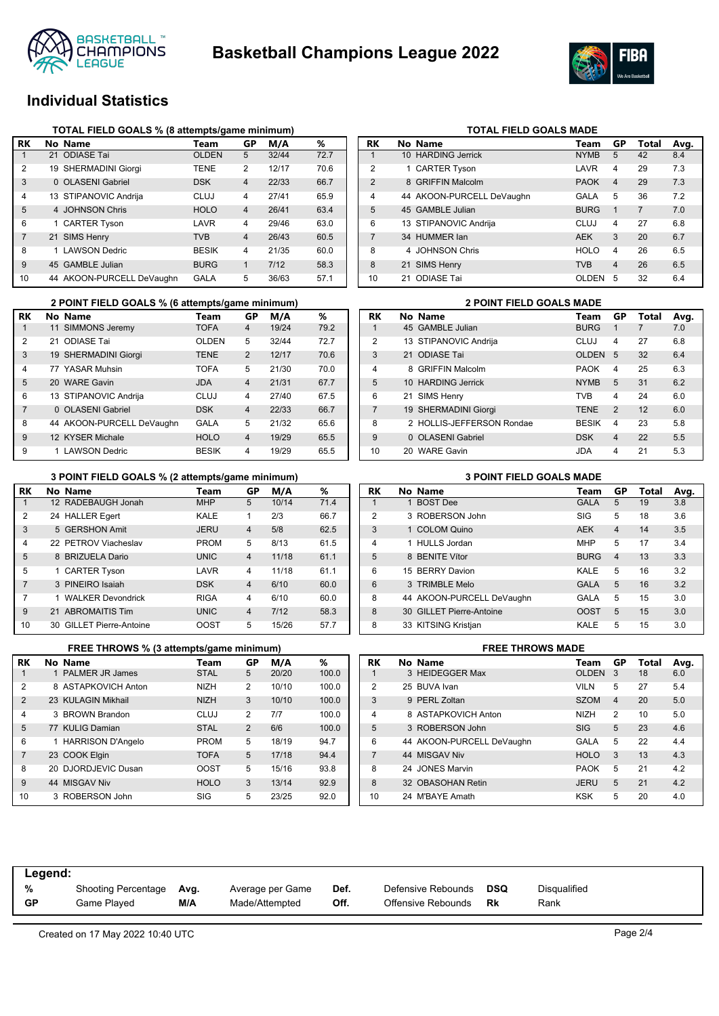



# **Individual Statistics**

|                | TOTAL FIELD GOALS % (8 attempts/game minimum) |                           |              |                |       |      |  |  |  |  |  |  |
|----------------|-----------------------------------------------|---------------------------|--------------|----------------|-------|------|--|--|--|--|--|--|
| RK             |                                               | No Name                   | Team         | GP             | M/A   | %    |  |  |  |  |  |  |
| $\mathbf{1}$   |                                               | 21 ODIASE Tai             | <b>OLDEN</b> | 5              | 32/44 | 72.7 |  |  |  |  |  |  |
| 2              |                                               | 19 SHERMADINI Giorgi      | TENE         | 2              | 12/17 | 70.6 |  |  |  |  |  |  |
| 3              |                                               | 0 OLASENI Gabriel         | <b>DSK</b>   | $\overline{4}$ | 22/33 | 66.7 |  |  |  |  |  |  |
| 4              |                                               | 13 STIPANOVIC Andrija     | CLUJ         | $\overline{4}$ | 27/41 | 65.9 |  |  |  |  |  |  |
| 5              |                                               | 4 JOHNSON Chris           | <b>HOLO</b>  | $\overline{4}$ | 26/41 | 63.4 |  |  |  |  |  |  |
| 6              |                                               | 1 CARTER Tyson            | LAVR         | $\overline{4}$ | 29/46 | 63.0 |  |  |  |  |  |  |
| $\overline{7}$ |                                               | 21 SIMS Henry             | <b>TVB</b>   | $\overline{4}$ | 26/43 | 60.5 |  |  |  |  |  |  |
| 8              | 1                                             | <b>LAWSON Dedric</b>      | <b>BESIK</b> | $\overline{4}$ | 21/35 | 60.0 |  |  |  |  |  |  |
| 9              |                                               | 45 GAMBLE Julian          | <b>BURG</b>  | 1              | 7/12  | 58.3 |  |  |  |  |  |  |
| 10             |                                               | 44 AKOON-PURCELL DeVaughn | GALA         | 5              | 36/63 | 57.1 |  |  |  |  |  |  |

| RK             |    | No Name                   | Team        | GP             | Total          | Avg. |
|----------------|----|---------------------------|-------------|----------------|----------------|------|
| $\mathbf 1$    |    | 10 HARDING Jerrick        | <b>NYMB</b> | 5              | 42             | 8.4  |
| $\overline{2}$ |    | 1 CARTER Tyson            | LAVR        | $\overline{4}$ | 29             | 7.3  |
| $\overline{2}$ |    | 8 GRIFFIN Malcolm         | <b>PAOK</b> | $\overline{4}$ | 29             | 7.3  |
| $\overline{4}$ |    | 44 AKOON-PURCELL DeVaughn | GALA        | 5              | 36             | 7.2  |
| 5              |    | 45 GAMBLE Julian          | <b>BURG</b> | 1              | $\overline{7}$ | 7.0  |
| 6              |    | 13 STIPANOVIC Andrija     | CLUJ        | 4              | 27             | 6.8  |
| $\overline{7}$ |    | 34 HUMMER lan             | <b>AFK</b>  | 3              | 20             | 6.7  |
| 8              |    | 4 JOHNSON Chris           | <b>HOLO</b> | $\overline{4}$ | 26             | 6.5  |
| 8              |    | 21 SIMS Henry             | <b>TVB</b>  | $\overline{4}$ | 26             | 6.5  |
| 10             | 21 | <b>ODIASE Tai</b>         | OLDEN       | 5              | 32             | 6.4  |
|                |    |                           |             |                |                |      |

**TOTAL FIELD GOALS MADE** 

|                | 2 POINT FIELD GOALS % (6 attempts/game minimum) |              |                |       |      | <b>2 POINT FIELD GOALS MADE</b> |           |                           |              |                |       |     |  |
|----------------|-------------------------------------------------|--------------|----------------|-------|------|---------------------------------|-----------|---------------------------|--------------|----------------|-------|-----|--|
| RК             | No Name                                         | Team         | GP             | M/A   | %    |                                 | <b>RK</b> | No Name                   | Team         | GP             | Total | Avg |  |
|                | SIMMONS Jeremy<br>11                            | <b>TOFA</b>  | 4              | 19/24 | 79.2 |                                 |           | 45 GAMBLE Julian          | <b>BURG</b>  |                |       | 7.0 |  |
| $\overline{2}$ | ODIASE Tai<br>21                                | <b>OLDEN</b> | 5              | 32/44 | 72.7 |                                 | 2         | 13 STIPANOVIC Andrija     | CLUJ         | 4              | 27    | 6.8 |  |
| 3              | 19 SHERMADINI Giorgi                            | <b>TENE</b>  | $\overline{2}$ | 12/17 | 70.6 |                                 | 3         | 21 ODIASE Tai             | <b>OLDEN</b> | -5             | 32    | 6.4 |  |
| 4              | 77 YASAR Muhsin                                 | <b>TOFA</b>  | 5              | 21/30 | 70.0 |                                 | 4         | 8 GRIFFIN Malcolm         | <b>PAOK</b>  | 4              | 25    | 6.3 |  |
| 5              | 20 WARE Gavin                                   | <b>JDA</b>   | $\overline{4}$ | 21/31 | 67.7 |                                 | 5         | 10 HARDING Jerrick        | <b>NYMB</b>  | 5              | 31    | 6.2 |  |
| 6              | 13 STIPANOVIC Andriia                           | CLUJ         | 4              | 27/40 | 67.5 |                                 | 6         | 21 SIMS Henry             | TVB          | 4              | 24    | 6.0 |  |
| $\overline{7}$ | 0 OLASENI Gabriel                               | <b>DSK</b>   | $\overline{4}$ | 22/33 | 66.7 |                                 |           | 19 SHERMADINI Giorgi      | <b>TENE</b>  | 2              | 12    | 6.0 |  |
| 8              | 44 AKOON-PURCELL DeVaughn                       | <b>GALA</b>  | 5              | 21/32 | 65.6 |                                 | 8         | 2 HOLLIS-JEFFERSON Rondae | <b>BESIK</b> | 4              | 23    | 5.8 |  |
| 9              | 12 KYSER Michale                                | <b>HOLO</b>  | $\overline{4}$ | 19/29 | 65.5 |                                 | 9         | 0 OLASENI Gabriel         | <b>DSK</b>   | $\overline{4}$ | 22    | 5.5 |  |
| 9              | <b>LAWSON Dedric</b>                            | <b>BESK</b>  | 4              | 19/29 | 65.5 |                                 | 10        | 20 WARE Gavin             | JDA          | 4              | 21    | 5.3 |  |

#### **3 POINT FIELD GOALS % (2 attempts/game minimum) 3 POINT FIELD GOALS MADE**

| RK             | No Name                  | Team        | GP             | M/A   | %    |
|----------------|--------------------------|-------------|----------------|-------|------|
|                | 12 RADEBAUGH Jonah       | <b>MHP</b>  | 5              | 10/14 | 71.4 |
| 2              | 24 HALLER Egert          | KALE        | 1              | 2/3   | 66.7 |
| 3              | 5 GERSHON Amit           | <b>JERU</b> | $\overline{4}$ | 5/8   | 62.5 |
| 4              | 22 PFTROV Viacheslav     | <b>PROM</b> | 5              | 8/13  | 61.5 |
| 5              | 8 BRIZUELA Dario         | <b>UNIC</b> | $\overline{4}$ | 11/18 | 61.1 |
| 5              | 1 CARTER Tyson           | LAVR        | $\overline{4}$ | 11/18 | 61.1 |
| $\overline{7}$ | 3 PINEIRO Isaiah         | <b>DSK</b>  | $\overline{4}$ | 6/10  | 60.0 |
| 7              | 1 WALKER Devondrick      | <b>RIGA</b> | $\overline{4}$ | 6/10  | 60.0 |
| 9              | 21 ABROMAITIS Tim        | <b>UNIC</b> | $\overline{4}$ | 7/12  | 58.3 |
| 10             | 30 GILLET Pierre-Antoine | OOST        | 5              | 15/26 | 57.7 |

|                | FREE THROWS % (3 attempts/game minimum) |                          |             |                |       |       |  |
|----------------|-----------------------------------------|--------------------------|-------------|----------------|-------|-------|--|
| RK             |                                         | No Name                  | Team        | GP             | M/A   | ℅     |  |
| 1              | 1                                       | <b>PALMER JR James</b>   | <b>STAL</b> | 5              | 20/20 | 100.0 |  |
| $\overline{2}$ |                                         | 8 ASTAPKOVICH Anton      | <b>NIZH</b> | $\overline{2}$ | 10/10 | 100.0 |  |
| $\overline{2}$ |                                         | 23 KULAGIN Mikhail       | <b>NIZH</b> | 3              | 10/10 | 100.0 |  |
| $\overline{4}$ |                                         | 3 BROWN Brandon          | CLUJ        | $\overline{2}$ | 7/7   | 100.0 |  |
| 5              |                                         | 77 KULIG Damian          | <b>STAL</b> | $\overline{2}$ | 6/6   | 100.0 |  |
| 6              | 1                                       | <b>HARRISON D'Angelo</b> | <b>PROM</b> | 5              | 18/19 | 94.7  |  |
| $\overline{7}$ |                                         | 23 COOK Elgin            | <b>TOFA</b> | 5              | 17/18 | 94.4  |  |
| 8              |                                         | 20 DJORDJEVIC Dusan      | <b>OOST</b> | 5              | 15/16 | 93.8  |  |
| 9              |                                         | 44 MISGAV Niv            | <b>HOLO</b> | 3              | 13/14 | 92.9  |  |
| 10             |                                         | 3 ROBERSON John          | SIG         | 5              | 23/25 | 92.0  |  |

|  | <b>3 POINT FIELD GOALS MADE</b> |  |  |
|--|---------------------------------|--|--|
|--|---------------------------------|--|--|

| RK             | No Name                   | Team        | GP             | Total | Avg. |
|----------------|---------------------------|-------------|----------------|-------|------|
| 1              | 1 BOST Dee                | <b>GALA</b> | 5              | 19    | 3.8  |
| $\overline{2}$ | 3 ROBERSON John           | SIG         | 5              | 18    | 3.6  |
| 3              | 1 COLOM Quino             | <b>AEK</b>  | $\overline{4}$ | 14    | 3.5  |
| $\overline{4}$ | 1 HULLS Jordan            | <b>MHP</b>  | 5              | 17    | 3.4  |
| 5              | 8 BENITE Vítor            | <b>BURG</b> | $\overline{4}$ | 13    | 3.3  |
| 6              | 15 BERRY Davion           | KALE        | 5              | 16    | 3.2  |
| 6              | 3 TRIMBLE Melo            | <b>GALA</b> | 5              | 16    | 3.2  |
| 8              | 44 AKOON-PURCELL DeVaughn | GALA        | 5              | 15    | 3.0  |
| 8              | 30 GILLET Pierre-Antoine  | <b>OOST</b> | 5              | 15    | 3.0  |
| 8              | 33 KITSING Kristjan       | KALE        | 5              | 15    | 3.0  |

| <b>FREE THROWS MADE</b> |  |                           |              |                |       |      |  |
|-------------------------|--|---------------------------|--------------|----------------|-------|------|--|
| RK                      |  | No Name                   | Team         | GP             | Total | Avg. |  |
| 1                       |  | 3 HEIDEGGER Max           | <b>OLDEN</b> | 3              | 18    | 6.0  |  |
| 2                       |  | 25 BUVA Ivan              | <b>VILN</b>  | 5              | 27    | 5.4  |  |
| 3                       |  | 9 PERL Zoltan             | <b>SZOM</b>  | $\overline{4}$ | 20    | 5.0  |  |
| $\overline{4}$          |  | 8 ASTAPKOVICH Anton       | <b>NIZH</b>  | 2              | 10    | 5.0  |  |
| 5                       |  | 3 ROBERSON John           | <b>SIG</b>   | 5              | 23    | 4.6  |  |
| 6                       |  | 44 AKOON-PURCELL DeVaughn | GALA         | 5              | 22    | 4.4  |  |
| $\overline{7}$          |  | 44 MISGAV Niv             | <b>HOLO</b>  | 3              | 13    | 4.3  |  |
| 8                       |  | 24 JONES Marvin           | <b>PAOK</b>  | 5              | 21    | 4.2  |  |
| 8                       |  | 32 OBASOHAN Retin         | <b>JERU</b>  | 5              | 21    | 4.2  |  |
| 10                      |  | 24 M'BAYE Amath           | KSK          | 5              | 20    | 4.0  |  |

| Legend: |                                    |             |                                    |              |                                          |           |                      |
|---------|------------------------------------|-------------|------------------------------------|--------------|------------------------------------------|-----------|----------------------|
| %<br>GP | Shooting Percentage<br>Game Played | Avg.<br>M/A | Average per Game<br>Made/Attempted | Def.<br>Off. | Defensive Rebounds<br>Offensive Rebounds | DSQ<br>Rk | Disqualified<br>Rank |
|         |                                    |             |                                    |              |                                          |           |                      |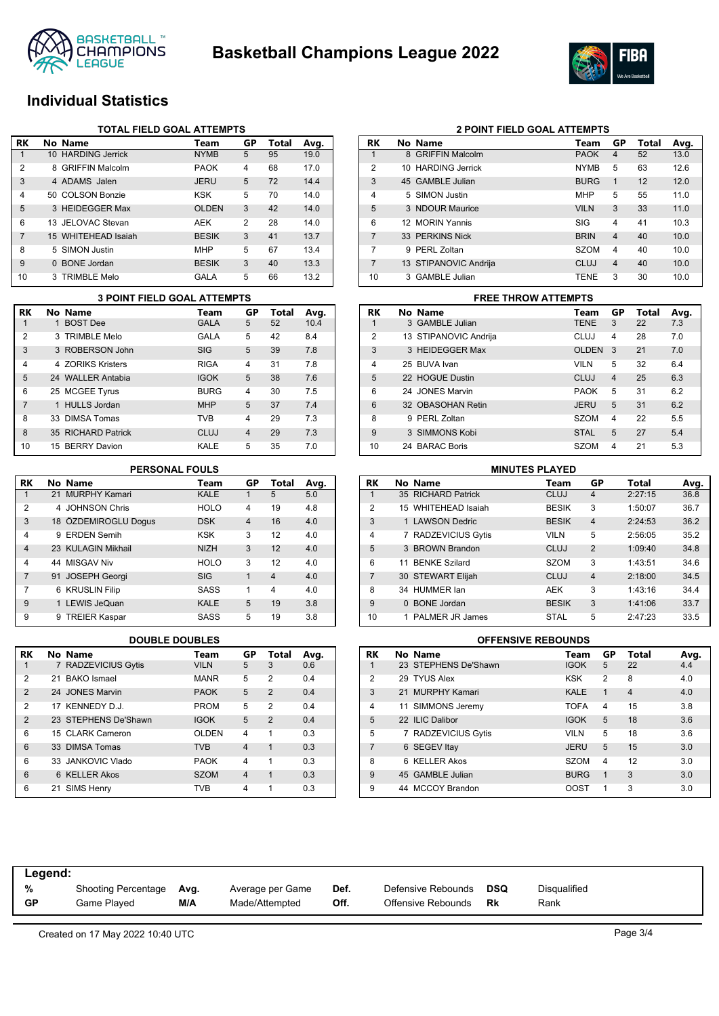



## **Individual Statistics**

| <b>TOTAL FIELD GOAL ATTEMPTS</b> |          |                     |              |                |       |      |
|----------------------------------|----------|---------------------|--------------|----------------|-------|------|
| RK                               |          | No Name             | Team         | GP             | Total | Avg. |
| 1                                |          | 10 HARDING Jerrick  | <b>NYMB</b>  | 5              | 95    | 19.0 |
| $\overline{2}$                   |          | 8 GRIFFIN Malcolm   | <b>PAOK</b>  | 4              | 68    | 17.0 |
| 3                                |          | 4 ADAMS Jalen       | <b>JERU</b>  | 5              | 72    | 14.4 |
| 4                                |          | 50 COLSON Bonzie    | <b>KSK</b>   | 5              | 70    | 14.0 |
| 5                                |          | 3 HEIDEGGER Max     | <b>OLDEN</b> | 3              | 42    | 14.0 |
| 6                                |          | 13 JELOVAC Stevan   | AEK          | $\overline{2}$ | 28    | 14.0 |
| 7                                |          | 15 WHITEHEAD Isaiah | <b>BESIK</b> | 3              | 41    | 13.7 |
| 8                                |          | 5 SIMON Justin      | <b>MHP</b>   | 5              | 67    | 13.4 |
| 9                                | $\Omega$ | <b>BONE</b> Jordan  | <b>BESIK</b> | 3              | 40    | 13.3 |
| 10                               |          | 3 TRIMBLE Melo      | GALA         | 5              | 66    | 13.2 |

| <b>3 POINT FIELD GOAL ATTEMPTS</b> |  |                    |             |                |       |      |
|------------------------------------|--|--------------------|-------------|----------------|-------|------|
| <b>RK</b>                          |  | No Name            | Team        | GP             | Total | Avg. |
|                                    |  | 1 BOST Dee         | <b>GALA</b> | 5              | 52    | 10.4 |
| $\overline{2}$                     |  | 3 TRIMBLE Melo     | GALA        | 5              | 42    | 8.4  |
| 3                                  |  | 3 ROBERSON John    | <b>SIG</b>  | 5              | 39    | 7.8  |
| 4                                  |  | 4 70RIKS Kristers  | <b>RIGA</b> | 4              | 31    | 7.8  |
| 5                                  |  | 24 WALLER Antabia  | <b>IGOK</b> | 5              | 38    | 7.6  |
| 6                                  |  | 25 MCGEE Tyrus     | <b>BURG</b> | 4              | 30    | 7.5  |
| 7                                  |  | 1 HULLS Jordan     | <b>MHP</b>  | 5              | 37    | 7.4  |
| 8                                  |  | 33 DIMSA Tomas     | <b>TVB</b>  | 4              | 29    | 7.3  |
| 8                                  |  | 35 RICHARD Patrick | CLUJ        | $\overline{4}$ | 29    | 7.3  |
| 10                                 |  | 15 BERRY Davion    | KALE        | 5              | 35    | 7.0  |

#### **PERSONAL FOULS**

| <b>RK</b>      | No Name              | Team        | GP             | <b>Total</b>   | Avg. |
|----------------|----------------------|-------------|----------------|----------------|------|
| 1              | 21 MURPHY Kamari     | <b>KALE</b> | 1              | 5              | 5.0  |
| 2              | 4 JOHNSON Chris      | <b>HOLO</b> | 4              | 19             | 4.8  |
| 3              | 18 ÖZDEMIROGLU Doqus | <b>DSK</b>  | $\overline{4}$ | 16             | 4.0  |
| 4              | 9 ERDEN Semih        | <b>KSK</b>  | 3              | 12             | 4.0  |
| $\overline{4}$ | 23 KULAGIN Mikhail   | <b>NIZH</b> | 3              | 12             | 4.0  |
| 4              | 44 MISGAV Niv        | <b>HOLO</b> | 3              | 12             | 4.0  |
| 7              | 91 JOSEPH Georgi     | <b>SIG</b>  | 1              | $\overline{4}$ | 4.0  |
| 7              | 6 KRUSLIN Filip      | <b>SASS</b> | 1              | 4              | 4.0  |
| 9              | 1 LEWIS JeQuan       | <b>KALE</b> | 5              | 19             | 3.8  |
| 9              | 9 TREIER Kaspar      | SASS        | 5              | 19             | 3.8  |

| RK             | No Name              | Team        | GP | Total          | Avg. |
|----------------|----------------------|-------------|----|----------------|------|
| 1              | 7 RADZEVICIUS Gytis  | <b>VILN</b> | 5  | 3              | 0.6  |
| $\mathfrak{p}$ | 21 BAKO Ismael       | <b>MANR</b> | 5  | 2              | 0.4  |
| $\overline{2}$ | 24 JONES Marvin      | <b>PAOK</b> | 5  | $\overline{2}$ | 0.4  |
| 2              | 17 KENNEDY D.J.      | <b>PROM</b> | 5  | 2              | 0.4  |
| $\overline{2}$ | 23 STEPHENS De'Shawn | <b>IGOK</b> | 5  | $\mathcal{P}$  | 0.4  |
| 6              | 15 CLARK Cameron     | OLDEN       | 4  | 1              | 0.3  |
| 6              | 33 DIMSA Tomas       | <b>TVB</b>  | 4  | 1              | 0.3  |
| 6              | 33 JANKOVIC Vlado    | <b>PAOK</b> | 4  | 1              | 0.3  |
| 6              | 6 KELLER Akos        | <b>SZOM</b> | 4  | 1              | 0.3  |
| 6              | 21 SIMS Henry        | TVB         | 4  |                | 0.3  |

| RK             |    | No Name               | Team        | GP             | Total | Avg. |
|----------------|----|-----------------------|-------------|----------------|-------|------|
|                |    | 8 GRIFFIN Malcolm     | <b>PAOK</b> | 4              | 52    | 13.0 |
| $\overline{2}$ | 10 | HARDING Jerrick       | <b>NYMB</b> | 5              | 63    | 12.6 |
| 3              |    | 45 GAMBLE Julian      | <b>BURG</b> | 1              | 12    | 12.0 |
| $\overline{4}$ |    | 5 SIMON Justin        | <b>MHP</b>  | 5              | 55    | 11.0 |
| 5              |    | 3 NDOUR Maurice       | <b>VILN</b> | 3              | 33    | 11.0 |
| 6              |    | 12 MORIN Yannis       | SIG         | $\overline{4}$ | 41    | 10.3 |
| 7              |    | 33 PERKINS Nick       | <b>BRIN</b> | $\overline{4}$ | 40    | 10.0 |
| 7              | 9  | PERL Zoltan           | <b>SZOM</b> | 4              | 40    | 10.0 |
| 7              |    | 13 STIPANOVIC Andrija | CLUJ        | $\overline{4}$ | 40    | 10.0 |
| 10             |    | 3 GAMBLE Julian       | <b>TENE</b> | 3              | 30    | 10.0 |

**2 POINT FIELD GOAL ATTEMPTS**

#### **RK No Name Team GP Total Avg.** 1 3 GAMBLE Julian TENE 3 22 7.3 2 13 STIPANOVIC Andrija CLUJ 4 28 7.0 3 3 HEIDEGGER Max OLDEN 3 21 7.0 4 25 BUVA Ivan VILN 5 32 6.4 5 22 HOGUE Dustin CLUJ 4 25 6.3 6 24 JONES Marvin PAOK 5 31 6.2 6 32 OBASOHAN Retin JERU 5 31 6.2 8 9 PERL Zoltan SZOM 4 22 5.5 9 3 SIMMONS Kobi STAL 5 27 5.4 10 24 BARAC Boris SZOM 4 21 5.3 **3 POINT FIELD GOAL ATTEMPTS FREE THROW ATTEMPTS**

| <b>MINUTES PLAYED</b>                               |          |                      |              |                |         |      |  |  |
|-----------------------------------------------------|----------|----------------------|--------------|----------------|---------|------|--|--|
| GP<br>No Name<br>Total<br><b>RK</b><br>Avg.<br>Team |          |                      |              |                |         |      |  |  |
|                                                     |          | 35 RICHARD Patrick   | <b>CLUJ</b>  | $\overline{4}$ | 2:27:15 | 36.8 |  |  |
| $\overline{2}$                                      |          | 15 WHITEHEAD Isaiah  | <b>BESIK</b> | 3              | 1:50:07 | 36.7 |  |  |
| 3                                                   |          | 1 LAWSON Dedric      | <b>BESIK</b> | $\overline{4}$ | 2:24:53 | 36.2 |  |  |
| $\overline{4}$                                      |          | 7 RADZEVICIUS Gytis  | <b>VILN</b>  | 5              | 2:56:05 | 35.2 |  |  |
| 5                                                   |          | 3 BROWN Brandon      | CLUJ         | $\overline{2}$ | 1:09:40 | 34.8 |  |  |
| 6                                                   | 11       | <b>BENKE Szilard</b> | <b>SZOM</b>  | 3              | 1:43:51 | 34.6 |  |  |
| $\overline{7}$                                      |          | 30 STEWART Elijah    | CLUJ         | $\overline{4}$ | 2:18:00 | 34.5 |  |  |
| 8                                                   |          | 34 HUMMER lan        | <b>AEK</b>   | 3              | 1:43:16 | 34.4 |  |  |
| 9                                                   | $\Omega$ | <b>BONE</b> Jordan   | <b>BESIK</b> | 3              | 1:41:06 | 33.7 |  |  |
| 10                                                  |          | PALMER JR James      | <b>STAL</b>  | 5              | 2:47:23 | 33.5 |  |  |

#### **DOUBLE DOUBLES OFFENSIVE REBOUNDS**

| RK             | No Name              | Team        | GP             | <b>Total</b>   | Avg. |
|----------------|----------------------|-------------|----------------|----------------|------|
|                | 23 STEPHENS De'Shawn | <b>IGOK</b> | 5              | 22             | 4.4  |
| $\overline{2}$ | 29 TYUS Alex         | <b>KSK</b>  | $\overline{2}$ | 8              | 4.0  |
| 3              | 21 MURPHY Kamari     | <b>KALE</b> | 1              | $\overline{4}$ | 4.0  |
| $\overline{4}$ | 11 SIMMONS Jeremy    | <b>TOFA</b> | $\overline{4}$ | 15             | 3.8  |
| 5              | 22 ILIC Dalibor      | <b>IGOK</b> | 5              | 18             | 3.6  |
| 5              | 7 RADZEVICIUS Gytis  | <b>VILN</b> | 5              | 18             | 3.6  |
| 7              | 6 SEGEV Itay         | <b>JERU</b> | 5              | 15             | 3.0  |
| 8              | 6 KELLER Akos        | <b>SZOM</b> | $\overline{4}$ | 12             | 3.0  |
| 9              | 45 GAMBLE Julian     | <b>BURG</b> | 1              | 3              | 3.0  |
| 9              | 44 MCCOY Brandon     | OOST        | 1              | 3              | 3.0  |

| Legend:   |                     |      |                  |      |                    |     |              |
|-----------|---------------------|------|------------------|------|--------------------|-----|--------------|
| %         | Shooting Percentage | Avg. | Average per Game | Def. | Defensive Rebounds | DSQ | Disqualified |
| <b>GP</b> | Game Played         | M/A  | Made/Attempted   | Off. | Offensive Rebounds | Rk  | Rank         |